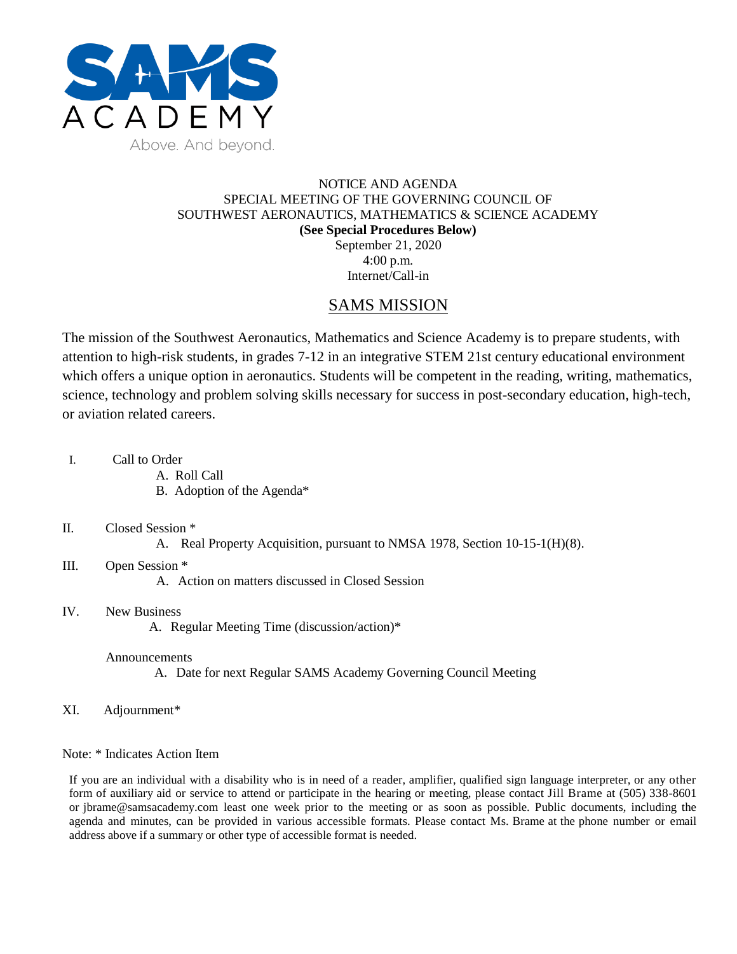

## NOTICE AND AGENDA SPECIAL MEETING OF THE GOVERNING COUNCIL OF SOUTHWEST AERONAUTICS, MATHEMATICS & SCIENCE ACADEMY **(See Special Procedures Below)** September 21, 2020 4:00 p.m.

Internet/Call-in

# SAMS MISSION

The mission of the Southwest Aeronautics, Mathematics and Science Academy is to prepare students, with attention to high-risk students, in grades 7-12 in an integrative STEM 21st century educational environment which offers a unique option in aeronautics. Students will be competent in the reading, writing, mathematics, science, technology and problem solving skills necessary for success in post-secondary education, high-tech, or aviation related careers.

- I. Call to Order
	- A. Roll Call
	- B. Adoption of the Agenda\*

#### II. Closed Session \*

A. Real Property Acquisition, pursuant to NMSA 1978, Section 10-15-1(H)(8).

## III. Open Session \*

A. Action on matters discussed in Closed Session

## IV. New Business

A. Regular Meeting Time (discussion/action)\*

#### Announcements

A. Date for next Regular SAMS Academy Governing Council Meeting

XI. Adjournment\*

#### Note: \* Indicates Action Item

If you are an individual with a disability who is in need of a reader, amplifier, qualified sign language interpreter, or any other form of auxiliary aid or service to attend or participate in the hearing or meeting, please contact Jill Brame at (505) 338-8601 or jbrame@samsacademy.com least one week prior to the meeting or as soon as possible. Public documents, including the agenda and minutes, can be provided in various accessible formats. Please contact Ms. Brame at the phone number or email address above if a summary or other type of accessible format is needed.